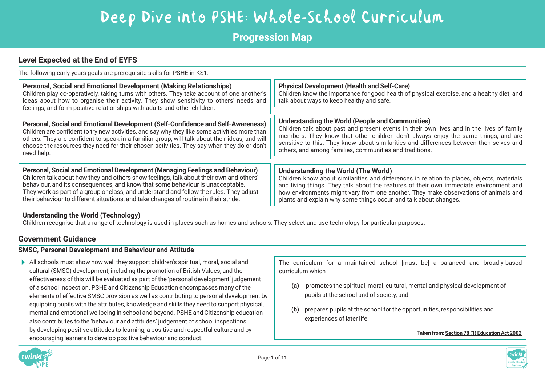# Deep Dive into PSHE: Whole-School Curriculum

# **Progression Map**

# **Level Expected at the End of EYFS**

The following early years goals are prerequisite skills for PSHE in KS1.

| <b>Personal, Social and Emotional Development (Making Relationships)</b><br>Children play co-operatively, taking turns with others. They take account of one another's<br>ideas about how to organise their activity. They show sensitivity to others' needs and<br>feelings, and form positive relationships with adults and other children. | <b>Physical Development (Health and Self-Care)</b><br>Children know the importance for good health of physical exercise, and a healthy diet, and<br>talk about ways to keep healthy and safe. |
|-----------------------------------------------------------------------------------------------------------------------------------------------------------------------------------------------------------------------------------------------------------------------------------------------------------------------------------------------|-----------------------------------------------------------------------------------------------------------------------------------------------------------------------------------------------|
| Personal, Social and Emotional Development (Self-Confidence and Self-Awareness)                                                                                                                                                                                                                                                               | <b>Understanding the World (People and Communities)</b>                                                                                                                                       |
| Children are confident to try new activities, and say why they like some activities more than                                                                                                                                                                                                                                                 | Children talk about past and present events in their own lives and in the lives of family                                                                                                     |
| others. They are confident to speak in a familiar group, will talk about their ideas, and will                                                                                                                                                                                                                                                | members. They know that other children don't always enjoy the same things, and are                                                                                                            |
| choose the resources they need for their chosen activities. They say when they do or don't                                                                                                                                                                                                                                                    | sensitive to this. They know about similarities and differences between themselves and                                                                                                        |
| need help.                                                                                                                                                                                                                                                                                                                                    | others, and among families, communities and traditions.                                                                                                                                       |
| Personal, Social and Emotional Development (Managing Feelings and Behaviour)                                                                                                                                                                                                                                                                  | <b>Understanding the World (The World)</b>                                                                                                                                                    |
| Children talk about how they and others show feelings, talk about their own and others'                                                                                                                                                                                                                                                       | Children know about similarities and differences in relation to places, objects, materials                                                                                                    |
| behaviour, and its consequences, and know that some behaviour is unacceptable.                                                                                                                                                                                                                                                                | and living things. They talk about the features of their own immediate environment and                                                                                                        |
| They work as part of a group or class, and understand and follow the rules. They adjust                                                                                                                                                                                                                                                       | how environments might vary from one another. They make observations of animals and                                                                                                           |
| their behaviour to different situations, and take changes of routine in their stride.                                                                                                                                                                                                                                                         | plants and explain why some things occur, and talk about changes.                                                                                                                             |
| <b>Understanding the World (Technology)</b><br>Children recognise that a range of technology is used in places such as homes and schools. They select and use technology for particular purposes.                                                                                                                                             |                                                                                                                                                                                               |

## **Government Guidance**

#### **SMSC, Personal Development and Behaviour and Attitude**

All schools must show how well they support children's spiritual, moral, social and cultural (SMSC) development, including the promotion of British Values, and the effectiveness of this will be evaluated as part of the 'personal development' judgement of a school inspection. PSHE and Citizenship Education encompasses many of the elements of effective SMSC provision as well as contributing to personal development by equipping pupils with the attributes, knowledge and skills they need to support physical, mental and emotional wellbeing in school and beyond. PSHE and Citizenship education also contributes to the 'behaviour and attitudes' judgement of school inspections by developing positive attitudes to learning, a positive and respectful culture and by [encouraging learners to develop positive behaviour and conduct.](https://www.twinkl.co.uk/resources/twinkl-life)

The curriculum for a maintained school [must be] a balanced and broadly-based curriculum which –

- **(a)** promotes the spiritual, moral, cultural, mental and physical development of pupils at the school and of society, and
- **(b)** prepares pupils at the school for the opportunities, responsibilities and experiences of later life.

#### **Taken from: [Section 78 \(1\) Education Act 2002](http://www.legislation.gov.uk/ukpga/2002/32/section/78)**



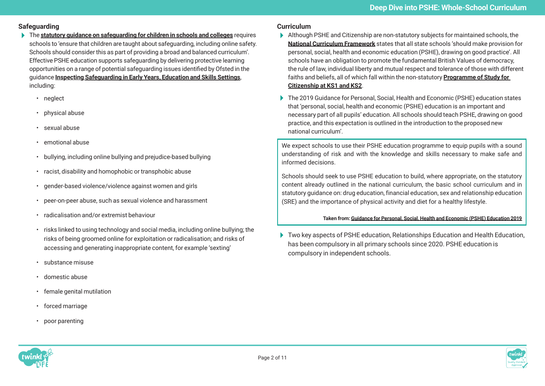## **Safeguarding**

- The **[statutory guidance on safeguarding for children in schools and colleges](https://www.gov.uk/government/publications/keeping-children-safe-in-education--2)** requires schools to 'ensure that children are taught about safeguarding, including online safety. Schools should consider this as part of providing a broad and balanced curriculum'. Effective PSHE education supports safeguarding by delivering protective learning opportunities on a range of potential safeguarding issues identified by Ofsted in the guidance **Inspecting [Safeguarding in Early Years, Education and Skills Settings](https://assets.publishing.service.gov.uk/government/uploads/system/uploads/attachment_data/file/828763/Inspecting_safeguarding_in_early_years__education_and_skills.pdf)**, including:
	- neglect
	- physical abuse
	- sexual abuse
	- emotional abuse
	- bullying, including online bullying and prejudice-based bullying
	- racist, disability and homophobic or transphobic abuse
	- gender-based violence/violence against women and girls
	- peer-on-peer abuse, such as sexual violence and harassment
	- radicalisation and/or extremist behaviour
	- risks linked to using technology and social media, including online bullying; the risks of being groomed online for exploitation or radicalisation; and risks of accessing and generating inappropriate content, for example 'sexting'
	- substance misuse
	- domestic abuse
	- female genital mutilation
	- forced marriage
	- poor parenting

## **Curriculum**

- Although PSHE and Citizenship are non-statutory subjects for maintained schools, the **[National Curriculum Framework](https://www.gov.uk/government/publications/national-curriculum-in-england-framework-for-key-stages-1-to-4/the-national-curriculum-in-england-framework-for-key-stages-1-to-4)** states that all state schools 'should make provision for personal, social, health and economic education (PSHE), drawing on good practice'. All schools have an obligation to promote the fundamental British Values of democracy, the rule of law, individual liberty and mutual respect and tolerance of those with different faiths and beliefs, all of which fall within the non-statutory **[Programme of Study for](https://assets.publishing.service.gov.uk/government/uploads/system/uploads/attachment_data/file/402173/Programme_of_Study_KS1_and_2.pdf)  [Citizenship at KS1 and KS2](https://assets.publishing.service.gov.uk/government/uploads/system/uploads/attachment_data/file/402173/Programme_of_Study_KS1_and_2.pdf)**.
- ▶ The 2019 Guidance for Personal, Social, Health and Economic (PSHE) education states that 'personal, social, health and economic (PSHE) education is an important and necessary part of all pupils' education. All schools should teach PSHE, drawing on good practice, and this expectation is outlined in the introduction to the proposed new national curriculum'.

We expect schools to use their PSHE education programme to equip pupils with a sound understanding of risk and with the knowledge and skills necessary to make safe and informed decisions.

Schools should seek to use PSHE education to build, where appropriate, on the statutory content already outlined in the national curriculum, the basic school curriculum and in statutory guidance on: drug education, financial education, sex and relationship education (SRE) and the importance of physical activity and diet for a healthy lifestyle.

#### **Taken from: [Guidance for Personal, Social, Health and Economic \(PSHE\) Education 2019](https://www.gov.uk/government/publications/personal-social-health-and-economic-education-pshe/personal-social-health-and-economic-pshe-education#personal-social-health-and-economic-education)**

▶ Two key aspects of PSHE education, Relationships Education and Health Education, has been compulsory in all primary schools since 2020. PSHE education is compulsory in independent schools.



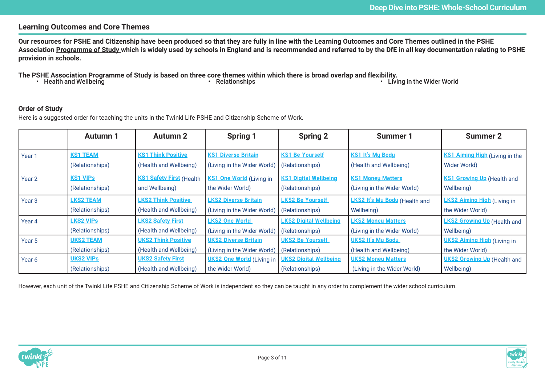## **Learning Outcomes and Core Themes**

**Our resources for PSHE and Citizenship have been produced so that they are fully in line with the Learning Outcomes and Core Themes outlined in the PSHE Association [Programme of Study w](https://www.pshe-association.org.uk/curriculum-and-resources/resources/programme-study-pshe-education-key-stages-1%E2%80%935)hich is widely used by schools in England and is recommended and referred to by the DfE in all key documentation relating to PSHE provision in schools.**

**The PSHE Association Programme of Study is based on three core themes within which there is broad overlap and flexibility.**

| <b>Health and Wellbeing</b><br>Relationships | Living in the Wider World |
|----------------------------------------------|---------------------------|
|----------------------------------------------|---------------------------|

#### **Order of Study**

Here is a suggested order for teaching the units in the Twinkl Life PSHE and Citizenship Scheme of Work.

|                   | <b>Autumn 1</b>  | <b>Autumn 2</b>                 | <b>Spring 1</b>                  | <b>Spring 2</b>               | Summer 1                             | Summer 2                              |
|-------------------|------------------|---------------------------------|----------------------------------|-------------------------------|--------------------------------------|---------------------------------------|
| Year 1            | <b>KS1 TEAM</b>  | <b>KS1 Think Positive</b>       | <b>KS1 Diverse Britain</b>       | <b>KS1 Be Yourself</b>        | <b>KS1 It's My Body</b>              | <b>KS1 Aiming High (Living in the</b> |
|                   | (Relationships)  | (Health and Wellbeing)          | (Living in the Wider World)      | (Relationships)               | (Health and Wellbeing)               | Wider World)                          |
| Year 2            | <b>KS1 VIPs</b>  | <b>KS1 Safety First (Health</b> | <b>KS1 One World (Living in</b>  | <b>KS1 Digital Wellbeing</b>  | <b>KS1 Money Matters</b>             | <b>KS1 Growing Up</b> (Health and     |
|                   | (Relationships)  | and Wellbeing)                  | the Wider World)                 | (Relationships)               | (Living in the Wider World)          | Wellbeing)                            |
| Year <sub>3</sub> | <b>LKS2 TEAM</b> | <b>LKS2 Think Positive</b>      | <b>LKS2 Diverse Britain</b>      | <b>LKS2 Be Yourself</b>       | <b>LKS2 It's My Body</b> (Health and | <b>LKS2 Aiming High (Living in</b>    |
|                   | (Relationships)  | (Health and Wellbeing)          | (Living in the Wider World)      | (Relationships)               | Wellbeing)                           | the Wider World)                      |
| Year 4            | <b>LKS2 VIPs</b> | <b>LKS2 Safety First</b>        | <b>LKS2 One World</b>            | <b>LKS2 Digital Wellbeing</b> | <b>LKS2 Money Matters</b>            | <b>LKS2 Growing Up</b> (Health and    |
|                   | (Relationships)  | (Health and Wellbeing)          | (Living in the Wider World)      | (Relationships)               | (Living in the Wider World)          | Wellbeing)                            |
| Year 5            | <b>UKS2 TEAM</b> | <b>UKS2 Think Positive</b>      | <b>UKS2 Diverse Britain</b>      | <b>UKS2 Be Yourself</b>       | <b>UKS2 It's My Body</b>             | <b>UKS2 Aiming High (Living in</b>    |
|                   | (Relationships)  | (Health and Wellbeing)          | (Living in the Wider World)      | (Relationships)               | (Health and Wellbeing)               | the Wider World)                      |
| Year 6            | <b>UKS2 VIPS</b> | <b>UKS2 Safety First</b>        | <b>UKS2 One World (Living in</b> | <b>UKS2 Digital Wellbeing</b> | <b>UKS2 Money Matters</b>            | <b>UKS2 Growing Up</b> (Health and    |
|                   | (Relationships)  | (Health and Wellbeing)          | the Wider World)                 | (Relationships)               | (Living in the Wider World)          | Wellbeing)                            |

However, each unit of the Twinkl Life PSHE and Citizenship Scheme of Work is independent so they can be taught in any order to complement the wider school curriculum.



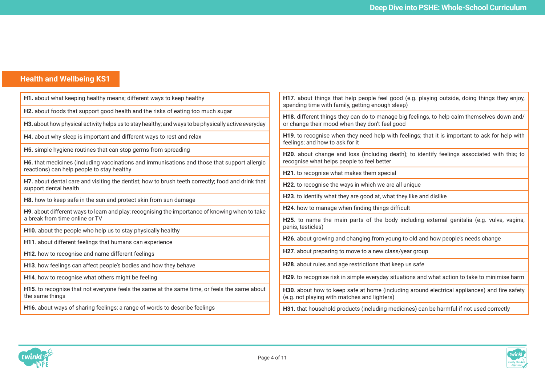# **Health and Wellbeing KS1**

| H1. about what keeping healthy means; different ways to keep healthy                                                       | H17. about things that help people feel good (e.g. playing outside, doing things they enjoy,<br>spending time with family, getting enough sleep) |  |
|----------------------------------------------------------------------------------------------------------------------------|--------------------------------------------------------------------------------------------------------------------------------------------------|--|
| H2. about foods that support good health and the risks of eating too much sugar                                            | H18. different things they can do to manage big feelings, to help calm themselves down and/                                                      |  |
| H3. about how physical activity helps us to stay healthy; and ways to be physically active everyday                        | or change their mood when they don't feel good                                                                                                   |  |
| H4. about why sleep is important and different ways to rest and relax                                                      | H19. to recognise when they need help with feelings; that it is important to ask for help with<br>feelings; and how to ask for it                |  |
| H5. simple hygiene routines that can stop germs from spreading                                                             | H20. about change and loss (including death); to identify feelings associated with this; to                                                      |  |
| H6. that medicines (including vaccinations and immunisations and those that support allergic                               | recognise what helps people to feel better                                                                                                       |  |
| reactions) can help people to stay healthy                                                                                 | H21. to recognise what makes them special                                                                                                        |  |
| H7. about dental care and visiting the dentist; how to brush teeth correctly; food and drink that<br>support dental health | H22. to recognise the ways in which we are all unique                                                                                            |  |
| H8. how to keep safe in the sun and protect skin from sun damage                                                           | H23. to identify what they are good at, what they like and dislike                                                                               |  |
| H9. about different ways to learn and play; recognising the importance of knowing when to take                             | <b>H24.</b> how to manage when finding things difficult                                                                                          |  |
| a break from time online or TV                                                                                             | H25. to name the main parts of the body including external genitalia (e.g. vulva, vagina,                                                        |  |
| <b>H10.</b> about the people who help us to stay physically healthy                                                        | penis, testicles)                                                                                                                                |  |
| H11. about different feelings that humans can experience                                                                   | H26. about growing and changing from young to old and how people's needs change                                                                  |  |
| H <sub>12</sub> . how to recognise and name different feelings                                                             | H27. about preparing to move to a new class/year group                                                                                           |  |
| H13. how feelings can affect people's bodies and how they behave                                                           | H28. about rules and age restrictions that keep us safe                                                                                          |  |
| H14. how to recognise what others might be feeling                                                                         | H29. to recognise risk in simple everyday situations and what action to take to minimise harm                                                    |  |
| H15. to recognise that not everyone feels the same at the same time, or feels the same about<br>the same things            | H30. about how to keep safe at home (including around electrical appliances) and fire safety<br>(e.g. not playing with matches and lighters)     |  |
| H16. about ways of sharing feelings; a range of words to describe feelings                                                 | H31. that household products (including medicines) can be harmful if not used correctly                                                          |  |



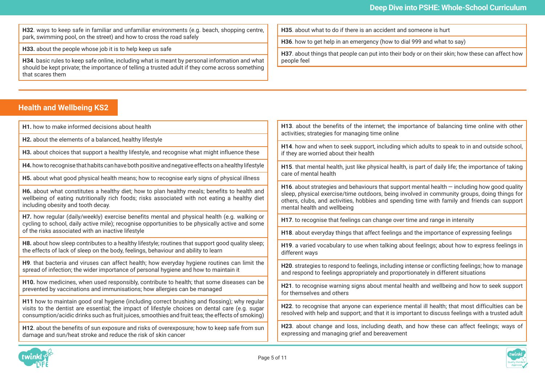**H32**. ways to keep safe in familiar and unfamiliar environments (e.g. beach, shopping centre, park, swimming pool, on the street) and how to cross the road safely

**H33.** about the people whose job it is to help keep us safe

**H34**. basic rules to keep safe online, including what is meant by personal information and what should be kept private; the importance of telling a trusted adult if they come across something that scares them

## **Health and Wellbeing KS2**

**H1.** how to make informed decisions about health

**H2.** about the elements of a balanced, healthy lifestyle

**H3.** about choices that support a healthy lifestyle, and recognise what might influence these

**H4.** how to recognise that habits can have both positive and negative effects on a healthy lifestyle

**H5.** about what good physical health means; how to recognise early signs of physical illness

**H6.** about what constitutes a healthy diet; how to plan healthy meals; benefits to health and wellbeing of eating nutritionally rich foods; risks associated with not eating a healthy diet including obesity and tooth decay.

**H7.** how regular (daily/weekly) exercise benefits mental and physical health (e.g. walking or cycling to school, daily active mile); recognise opportunities to be physically active and some of the risks associated with an inactive lifestyle

**H8.** about how sleep contributes to a healthy lifestyle; routines that support good quality sleep; the effects of lack of sleep on the body, feelings, behaviour and ability to learn

**H9**. that bacteria and viruses can affect health; how everyday hygiene routines can limit the spread of infection; the wider importance of personal hygiene and how to maintain it

**H10.** how medicines, when used responsibly, contribute to health; that some diseases can be prevented by vaccinations and immunisations; how allergies can be managed

**H11** how to maintain good oral hygiene (including correct brushing and flossing); why regular visits to the dentist are essential; the impact of lifestyle choices on dental care (e.g. sugar consumption/acidic drinks such as fruit juices, smoothies and fruit teas; the effects of smoking)

**H12**. about the benefits of sun exposure and risks of overexposure; how to keep safe from sun damage and sun/heat stroke and reduce the risk of skin cancer

**H35**. about what to do if there is an accident and someone is hurt

**H36**. how to get help in an emergency (how to dial 999 and what to say)

**H37**. about things that people can put into their body or on their skin; how these can affect how people feel

**H13**. about the benefits of the internet; the importance of balancing time online with other activities; strategies for managing time online

**H14**. how and when to seek support, including which adults to speak to in and outside school, if they are worried about their health

**H15**. that mental health, just like physical health, is part of daily life; the importance of taking care of mental health

**H16**. about strategies and behaviours that support mental health — including how good quality sleep, physical exercise/time outdoors, being involved in community groups, doing things for others, clubs, and activities, hobbies and spending time with family and friends can support mental health and wellbeing

**H17**. to recognise that feelings can change over time and range in intensity

**H18**. about everyday things that affect feelings and the importance of expressing feelings

**H19**. a varied vocabulary to use when talking about feelings; about how to express feelings in different ways

**H20**. strategies to respond to feelings, including intense or conflicting feelings; how to manage and respond to feelings appropriately and proportionately in different situations

**H21**. to recognise warning signs about mental health and wellbeing and how to seek support for themselves and others

**H22**. to recognise that anyone can experience mental ill health; that most difficulties can be resolved with help and support; and that it is important to discuss feelings with a trusted adult

**H23**. about change and loss, including death, and how these can affect feelings; ways of expressing and managing grief and bereavement





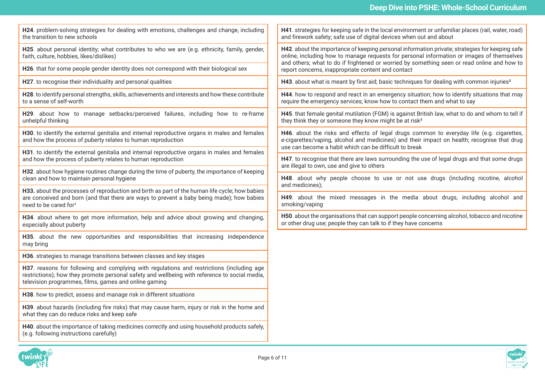**H24**. problem-solving strategies for dealing with emotions, challenges and change, including the transition to new schools

**H25**. about personal identity; what contributes to who we are (e.g. ethnicity, family, gender, faith, culture, hobbies, likes/dislikes)

**H26**. that for some people gender identity does not correspond with their biological sex

**H27**. to recognise their individuality and personal qualities

**H28**. to identify personal strengths, skills, achievements and interests and how these contribute to a sense of self-worth

**H29**. about how to manage setbacks/perceived failures, including how to re-frame unhelpful thinking

**H30**. to identify the external genitalia and internal reproductive organs in males and females and how the process of puberty relates to human reproduction

**H31**. to identify the external genitalia and internal reproductive organs in males and females and how the process of puberty relates to human reproduction

**H32**. about how hygiene routines change during the time of puberty, the importance of keeping clean and how to maintain personal hygiene

**H33.** about the processes of reproduction and birth as part of the human life cycle; how babies are conceived and born (and that there are ways to prevent a baby being made); how babies need to be cared for<sup>1</sup>

**H34**. about where to get more information, help and advice about growing and changing, especially about puberty

**H35**. about the new opportunities and responsibilities that increasing independence may bring

**H36**. strategies to manage transitions between classes and key stages

**H37**. reasons for following and complying with regulations and restrictions (including age restrictions); how they promote personal safety and wellbeing with reference to social media, television programmes, films, games and online gaming

**H38**. how to predict, assess and manage risk in different situations

**H39**. about hazards (including fire risks) that may cause harm, injury or risk in the home and what they can do reduce risks and keep safe

**H40**. about the importance of taking medicines correctly and using household products safely, (e.g. following instructions carefully)

**H41**. strategies for keeping safe in the local environment or unfamiliar places (rail, water, road) and firework safety; safe use of digital devices when out and about

**H42**. about the importance of keeping personal information private; strategies for keeping safe online, including how to manage requests for personal information or images of themselves and others; what to do if frightened or worried by something seen or read online and how to report concerns, inappropriate content and contact

H43. about what is meant by first aid; basic techniques for dealing with common injuries<sup>2</sup>

**H44**. how to respond and react in an emergency situation; how to identify situations that may require the emergency services; know how to contact them and what to say

**H45**. that female genital mutilation (FGM) is against British law, what to do and whom to tell if they think they or someone they know might be at risk $3$ 

**H46**. about the risks and effects of legal drugs common to everyday life (e.g. cigarettes, e-cigarettes/vaping, alcohol and medicines) and their impact on health; recognise that drug use can become a habit which can be difficult to break

**H47**. to recognise that there are laws surrounding the use of legal drugs and that some drugs are illegal to own, use and give to others

**H48**. about why people choose to use or not use drugs (including nicotine, alcohol and medicines);

**H49**. about the mixed messages in the media about drugs, including alcohol and smoking/vaping

**H50**. about the organisations that can support people concerning alcohol, tobacco and nicotine or other drug use; people they can talk to if they have concerns





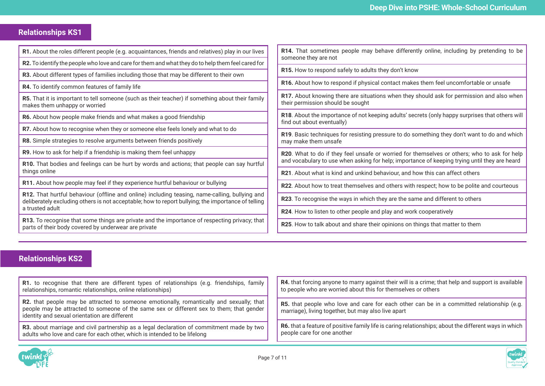twin

# **Relationships KS1**

| R1. About the roles different people (e.g. acquaintances, friends and relatives) play in our lives                                                                                                                      | R14. That sometimes people may behave differently online, including by pretending to be                                        |  |
|-------------------------------------------------------------------------------------------------------------------------------------------------------------------------------------------------------------------------|--------------------------------------------------------------------------------------------------------------------------------|--|
| R2. To identify the people who love and care for them and what they do to help them feel cared for                                                                                                                      | someone they are not                                                                                                           |  |
| R3. About different types of families including those that may be different to their own                                                                                                                                | R15. How to respond safely to adults they don't know                                                                           |  |
| <b>R4.</b> To identify common features of family life                                                                                                                                                                   | R16. About how to respond if physical contact makes them feel uncomfortable or unsafe                                          |  |
| R5. That it is important to tell someone (such as their teacher) if something about their family<br>makes them unhappy or worried                                                                                       | R17. About knowing there are situations when they should ask for permission and also when<br>their permission should be sought |  |
| R6. About how people make friends and what makes a good friendship                                                                                                                                                      | R18. About the importance of not keeping adults' secrets (only happy surprises that others will<br>find out about eventually)  |  |
| R7. About how to recognise when they or someone else feels lonely and what to do                                                                                                                                        |                                                                                                                                |  |
| R8. Simple strategies to resolve arguments between friends positively                                                                                                                                                   | R19. Basic techniques for resisting pressure to do something they don't want to do and which<br>may make them unsafe           |  |
| R9. How to ask for help if a friendship is making them feel unhappy                                                                                                                                                     | R20. What to do if they feel unsafe or worried for themselves or others; who to ask for help                                   |  |
| R10. That bodies and feelings can be hurt by words and actions; that people can say hurtful<br>things online                                                                                                            | and vocabulary to use when asking for help; importance of keeping trying until they are heard                                  |  |
|                                                                                                                                                                                                                         | R21. About what is kind and unkind behaviour, and how this can affect others                                                   |  |
| R11. About how people may feel if they experience hurtful behaviour or bullying                                                                                                                                         | R22. About how to treat themselves and others with respect; how to be polite and courteous                                     |  |
| R12. That hurtful behaviour (offline and online) including teasing, name-calling, bullying and<br>deliberately excluding others is not acceptable; how to report bullying; the importance of telling<br>a trusted adult | R23. To recognise the ways in which they are the same and different to others                                                  |  |
|                                                                                                                                                                                                                         | R24. How to listen to other people and play and work cooperatively                                                             |  |
| R13. To recognise that some things are private and the importance of respecting privacy; that<br>parts of their body covered by underwear are private                                                                   | R25. How to talk about and share their opinions on things that matter to them                                                  |  |

# **Relationships KS2**

| R1. to recognise that there are different types of relationships (e.g. friendships, family                                                                                                                                                   | R4. that forcing anyone to marry against their will is a crime; that help and support is available                                               |
|----------------------------------------------------------------------------------------------------------------------------------------------------------------------------------------------------------------------------------------------|--------------------------------------------------------------------------------------------------------------------------------------------------|
| relationships, romantic relationships, online relationships)                                                                                                                                                                                 | to people who are worried about this for themselves or others                                                                                    |
| <b>R2.</b> that people may be attracted to someone emotionally, romantically and sexually; that<br>people may be attracted to someone of the same sex or different sex to them; that gender<br>identity and sexual orientation are different | R5. that people who love and care for each other can be in a committed relationship (e.g.<br>marriage), living together, but may also live apart |
| R3. about marriage and civil partnership as a legal declaration of commitment made by two                                                                                                                                                    | R6. that a feature of positive family life is caring relationships; about the different ways in which                                            |
| adults who love and care for each other, which is intended to be lifelong                                                                                                                                                                    | people care for one another                                                                                                                      |

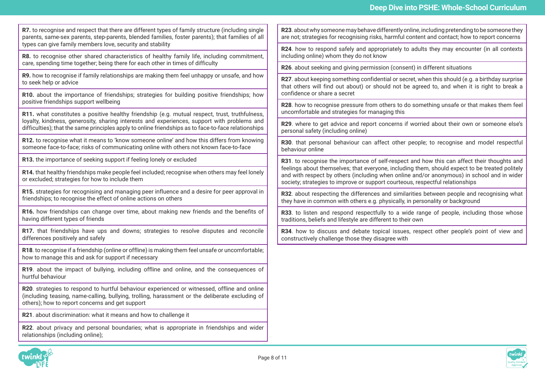**R7.** to recognise and respect that there are different types of family structure (including single parents, same-sex parents, step-parents, blended families, foster parents); that families of all types can give family members love, security and stability

**R8.** to recognise other shared characteristics of healthy family life, including commitment, care, spending time together; being there for each other in times of difficulty

**R9.** how to recognise if family relationships are making them feel unhappy or unsafe, and how to seek help or advice

**R10.** about the importance of friendships; strategies for building positive friendships; how positive friendships support wellbeing

**R11.** what constitutes a positive healthy friendship (e.g. mutual respect, trust, truthfulness, loyalty, kindness, generosity, sharing interests and experiences, support with problems and difficulties); that the same principles apply to online friendships as to face-to-face relationships

**R12.** to recognise what it means to 'know someone online' and how this differs from knowing someone face-to-face; risks of communicating online with others not known face-to-face

**R13.** the importance of seeking support if feeling lonely or excluded

**R14.** that healthy friendships make people feel included; recognise when others may feel lonely or excluded; strategies for how to include them

**R15.** strategies for recognising and managing peer influence and a desire for peer approval in friendships; to recognise the effect of online actions on others

**R16.** how friendships can change over time, about making new friends and the benefits of having different types of friends

**R17.** that friendships have ups and downs; strategies to resolve disputes and reconcile differences positively and safely

**R18**. to recognise if a friendship (online or offline) is making them feel unsafe or uncomfortable; how to manage this and ask for support if necessary

**R19**. about the impact of bullying, including offline and online, and the consequences of hurtful behaviour

**R20**. strategies to respond to hurtful behaviour experienced or witnessed, offline and online (including teasing, name-calling, bullying, trolling, harassment or the deliberate excluding of others); how to report concerns and get support

**R21**. about discrimination: what it means and how to challenge it

**R22**. about privacy and personal boundaries; what is appropriate in friendships and wider relationships (including online);



**R24**. how to respond safely and appropriately to adults they may encounter (in all contexts including online) whom they do not know

**R26**. about seeking and giving permission (consent) in different situations

**R27**. about keeping something confidential or secret, when this should (e.g. a birthday surprise that others will find out about) or should not be agreed to, and when it is right to break a confidence or share a secret

**R28**. how to recognise pressure from others to do something unsafe or that makes them feel uncomfortable and strategies for managing this

**R29**. where to get advice and report concerns if worried about their own or someone else's personal safety (including online)

**R30**. that personal behaviour can affect other people; to recognise and model respectful behaviour online

**R31**. to recognise the importance of self-respect and how this can affect their thoughts and feelings about themselves; that everyone, including them, should expect to be treated politely and with respect by others (including when online and/or anonymous) in school and in wider society; strategies to improve or support courteous, respectful relationships

**R32.** about respecting the differences and similarities between people and recognising what they have in common with others e.g. physically, in personality or background

**R33**. to listen and respond respectfully to a wide range of people, including those whose traditions, beliefs and lifestyle are different to their own

**R34**. how to discuss and debate topical issues, respect other people's point of view and constructively challenge those they disagree with



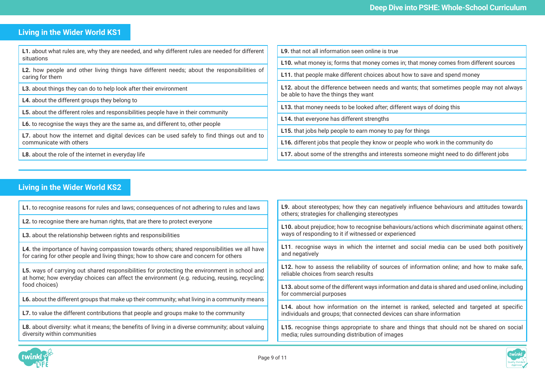# **Living in the Wider World KS1**

**L1.** about what rules are, why they are needed, and why different rules are needed for different situations

L2. how people and other living things have different needs; about the responsibilities of caring for them

- **L3.** about things they can do to help look after their environment
- **L4.** about the different groups they belong to

**L5.** about the different roles and responsibilities people have in their community

**L6.** to recognise the ways they are the same as, and different to, other people

L7. about how the internet and digital devices can be used safely to find things out and to communicate with others

**L8.** about the role of the internet in everyday life

**L9.** that not all information seen online is true **L10.** what money is; forms that money comes in; that money comes from different sources **L11.** that people make different choices about how to save and spend money **L12.** about the difference between needs and wants; that sometimes people may not always be able to have the things they want **L13.** that money needs to be looked after; different ways of doing this **L14.** that everyone has different strengths **L15.** that jobs help people to earn money to pay for things **L16.** different jobs that people they know or people who work in the community do

**L17.** about some of the strengths and interests someone might need to do different jobs

# **Living in the Wider World KS2**

| L1. to recognise reasons for rules and laws; consequences of not adhering to rules and laws                                                                                                                    | L9. about stereotypes; how they can negatively influence behaviours and attitudes towards<br>others; strategies for challenging stereotypes                     |  |
|----------------------------------------------------------------------------------------------------------------------------------------------------------------------------------------------------------------|-----------------------------------------------------------------------------------------------------------------------------------------------------------------|--|
| L2. to recognise there are human rights, that are there to protect everyone                                                                                                                                    | L10. about prejudice; how to recognise behaviours/actions which discriminate against others;<br>ways of responding to it if witnessed or experienced            |  |
| L3. about the relationship between rights and responsibilities                                                                                                                                                 |                                                                                                                                                                 |  |
| L4. the importance of having compassion towards others; shared responsibilities we all have<br>for caring for other people and living things; how to show care and concern for others                          | L11. recognise ways in which the internet and social media can be used both positively<br>and negatively                                                        |  |
| L5. ways of carrying out shared responsibilities for protecting the environment in school and<br>at home; how everyday choices can affect the environment (e.g. reducing, reusing, recycling;<br>food choices) | L12. how to assess the reliability of sources of information online; and how to make safe,<br>reliable choices from search results                              |  |
|                                                                                                                                                                                                                | L13. about some of the different ways information and data is shared and used online, including                                                                 |  |
| L6. about the different groups that make up their community; what living in a community means                                                                                                                  | for commercial purposes                                                                                                                                         |  |
| L7. to value the different contributions that people and groups make to the community                                                                                                                          | L14. about how information on the internet is ranked, selected and targeted at specific<br>individuals and groups; that connected devices can share information |  |
| L8. about diversity: what it means; the benefits of living in a diverse community; about valuing<br>diversity within communities                                                                               | L15. recognise things appropriate to share and things that should not be shared on social<br>media; rules surrounding distribution of images                    |  |



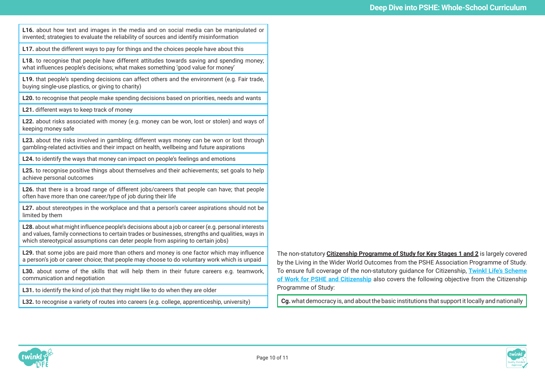**L16.** about how text and images in the media and on social media can be manipulated or invented; strategies to evaluate the reliability of sources and identify misinformation

**L17.** about the different ways to pay for things and the choices people have about this

L18. to recognise that people have different attitudes towards saving and spending money; what influences people's decisions; what makes something 'good value for money'

**L19.** that people's spending decisions can affect others and the environment (e.g. Fair trade, buying single-use plastics, or giving to charity)

**L20.** to recognise that people make spending decisions based on priorities, needs and wants

**L21.** different ways to keep track of money

**L22.** about risks associated with money (e.g. money can be won, lost or stolen) and ways of keeping money safe

**L23.** about the risks involved in gambling; different ways money can be won or lost through gambling-related activities and their impact on health, wellbeing and future aspirations

**L24.** to identify the ways that money can impact on people's feelings and emotions

L25. to recognise positive things about themselves and their achievements; set goals to help achieve personal outcomes

L26. that there is a broad range of different jobs/careers that people can have; that people often have more than one career/type of job during their life

L27. about stereotypes in the workplace and that a person's career aspirations should not be limited by them

**L28.** about what might influence people's decisions about a job or career (e.g. personal interests and values, family connections to certain trades or businesses, strengths and qualities, ways in which stereotypical assumptions can deter people from aspiring to certain jobs)

L29. that some jobs are paid more than others and money is one factor which may influence a person's job or career choice; that people may choose to do voluntary work which is unpaid

L30. about some of the skills that will help them in their future careers e.g. teamwork, communication and negotiation

L31. to identify the kind of job that they might like to do when they are older

L32. to recognise a variety of routes into careers (e.g. college, apprenticeship, university)

The non-statutory **[Citizenship Programme of Study for Key Stages 1 and 2](https://assets.publishing.service.gov.uk/government/uploads/system/uploads/attachment_data/file/402173/Programme_of_Study_KS1_and_2.pdf)** is largely covered by the Living in the Wider World Outcomes from the PSHE Association Programme of Study. To ensure full coverage of the non-statutory guidance for Citizenship, **[Twinkl Life's Scheme](https://www.twinkl.co.uk/resources/twinkl-life/pshce-twinkl-life/guides-pshce-twinkl-life) [of Work for PSHE and Citizenship](https://www.twinkl.co.uk/resources/twinkl-life/pshce-twinkl-life/guides-pshce-twinkl-life)** also covers the following objective from the Citizenship Programme of Study:

**Cg.** what democracy is, and about the basic institutions that support it locally and nationally